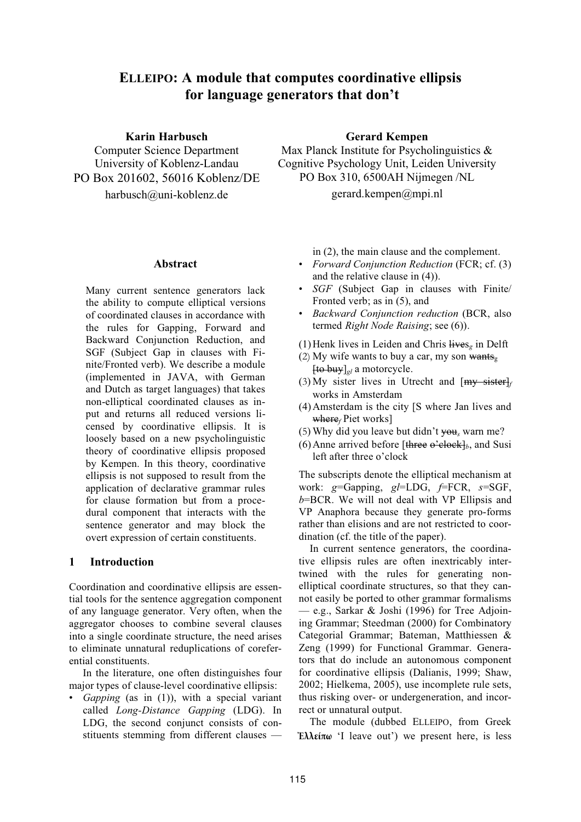# **ELLEIPO: A module that computes coordinative ellipsis for language generators that don't**

**Karin Harbusch**

Computer Science Department University of Koblenz-Landau PO Box 201602, 56016 Koblenz/DE harbusch@uni-koblenz.de

## **Gerard Kempen**

Max Planck Institute for Psycholinguistics & Cognitive Psychology Unit, Leiden University PO Box 310, 6500AH Nijmegen /NL

gerard.kempen@mpi.nl

### **Abstract**

Many current sentence generators lack the ability to compute elliptical versions of coordinated clauses in accordance with the rules for Gapping, Forward and Backward Conjunction Reduction, and SGF (Subject Gap in clauses with Finite/Fronted verb). We describe a module (implemented in JAVA, with German and Dutch as target languages) that takes non-elliptical coordinated clauses as input and returns all reduced versions licensed by coordinative ellipsis. It is loosely based on a new psycholinguistic theory of coordinative ellipsis proposed by Kempen. In this theory, coordinative ellipsis is not supposed to result from the application of declarative grammar rules for clause formation but from a procedural component that interacts with the sentence generator and may block the overt expression of certain constituents.

## **1 Introduction**

Coordination and coordinative ellipsis are essential tools for the sentence aggregation component of any language generator. Very often, when the aggregator chooses to combine several clauses into a single coordinate structure, the need arises to eliminate unnatural reduplications of coreferential constituents.

In the literature, one often distinguishes four major types of clause-level coordinative ellipsis:

• *Gapping* (as in (1)), with a special variant called *Long-Distance Gapping* (LDG). In LDG, the second conjunct consists of constituents stemming from different clauses —

in (2), the main clause and the complement.

- *Forward Conjunction Reduction* (FCR; cf. (3) and the relative clause in (4)).
- *SGF* (Subject Gap in clauses with Finite/ Fronted verb; as in (5), and
- *Backward Conjunction reduction* (BCR, also termed *Right Node Raising*; see (6)).
- (1)Henk lives in Leiden and Chris lives*<sup>g</sup>* in Delft
- (2) My wife wants to buy a car, my son wants<sub>g</sub> [to buy]*gl* a motorcycle.
- (3) My sister lives in Utrecht and  $[my$-sister]_f$ works in Amsterdam
- (4)Amsterdam is the city [S where Jan lives and where<sub>f</sub> Piet works]
- (5) Why did you leave but didn't you*<sup>s</sup>* warn me?
- (6) Anne arrived before [three  $\mathbf{\theta}^2$ elock]<sub>*b*</sub>, and Susi left after three o'clock

The subscripts denote the elliptical mechanism at work: *g*=Gapping, *gl*=LDG, *f*=FCR, *s*=SGF, *b*=BCR. We will not deal with VP Ellipsis and VP Anaphora because they generate pro-forms rather than elisions and are not restricted to coordination (cf. the title of the paper).

In current sentence generators, the coordinative ellipsis rules are often inextricably intertwined with the rules for generating nonelliptical coordinate structures, so that they cannot easily be ported to other grammar formalisms — e.g., Sarkar & Joshi (1996) for Tree Adjoining Grammar; Steedman (2000) for Combinatory Categorial Grammar; Bateman, Matthiessen & Zeng (1999) for Functional Grammar. Generators that do include an autonomous component for coordinative ellipsis (Dalianis, 1999; Shaw, 2002; Hielkema, 2005), use incomplete rule sets, thus risking over- or undergeneration, and incorrect or unnatural output.

The module (dubbed ELLEIPO, from Greek **Ἐλλείπω** 'I leave out') we present here, is less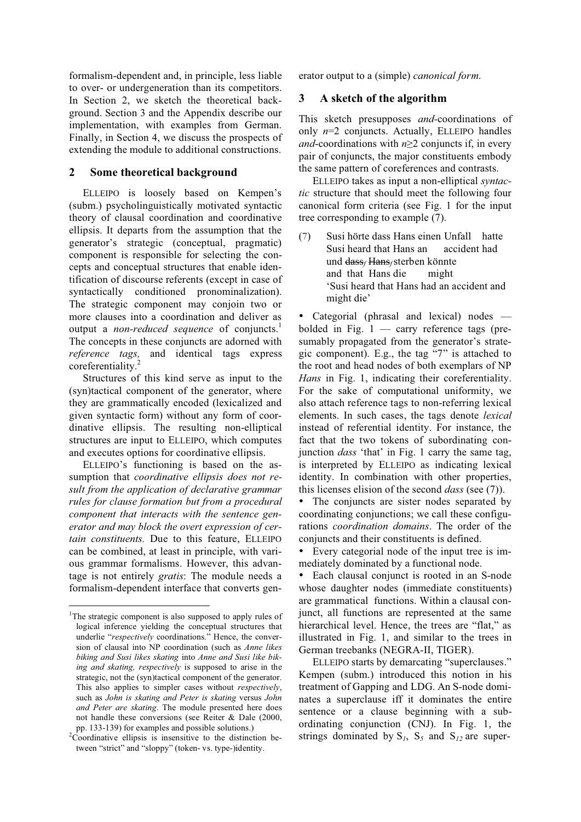formalism-dependent and, in principle, less liable to over- or undergeneration than its competitors. In Section 2, we sketch the theoretical background. Section 3 and the Appendix describe our implementation, with examples from German. Finally, in Section 4, we discuss the prospects of extending the module to additional constructions.

## **2 Some theoretical background**

ELLEIPO is loosely based on Kempen's (subm.) psycholinguistically motivated syntactic theory of clausal coordination and coordinative ellipsis. It departs from the assumption that the generator's strategic (conceptual, pragmatic) component is responsible for selecting the concepts and conceptual structures that enable identification of discourse referents (except in case of syntactically conditioned pronominalization). The strategic component may conjoin two or more clauses into a coordination and deliver as output a *non-reduced sequence* of conjuncts.<sup>1</sup> The concepts in these conjuncts are adorned with *reference tags,* and identical tags express coreferentiality.

Structures of this kind serve as input to the (syn)tactical component of the generator, where they are grammatically encoded (lexicalized and given syntactic form) without any form of coordinative ellipsis. The resulting non-elliptical structures are input to ELLEIPO, which computes and executes options for coordinative ellipsis.

ELLEIPO's functioning is based on the assumption that *coordinative ellipsis does not result from the application of declarative grammar rules for clause formation but from a procedural component that interacts with the sentence generator and may block the overt expression of certain constituents.* Due to this feature, ELLEIPO can be combined, at least in principle, with various grammar formalisms. However, this advantage is not entirely *gratis*: The module needs a formalism-dependent interface that converts generator output to a (simple) *canonical form*.

## **3 A sketch of the algorithm**

This sketch presupposes *and-*coordinations of only *n*=2 conjuncts. Actually, ELLEIPO handles *and*-coordinations with  $n \geq 2$  conjuncts if, in every pair of conjuncts, the major constituents embody the same pattern of coreferences and contrasts.

ELLEIPO takes as input a non-elliptical *syntactic* structure that should meet the following four canonical form criteria (see Fig. 1 for the input tree corresponding to example (7).

(7) Susi hörte dass Hans einen Unfall hatte Susi heard that Hans an accident had und dass*<sup>f</sup>* Hans*f*sterben könnte and that Hans die might 'Susi heard that Hans had an accident and might die'

 $\Box$  Categorial (phrasal and lexical) nodes bolded in Fig.  $1 - \text{carry reference tags (pre-}$ sumably propagated from the generator's strategic component). E.g., the tag "7" is attached to the root and head nodes of both exemplars of NP *Hans* in Fig. 1, indicating their coreferentiality. For the sake of computational uniformity, we also attach reference tags to non-referring lexical elements. In such cases, the tags denote *lexical* instead of referential identity. For instance, the fact that the two tokens of subordinating conjunction *dass* 'that' in Fig. 1 carry the same tag, is interpreted by ELLEIPO as indicating lexical identity. In combination with other properties, this licenses elision of the second *dass* (see (7)).

□ The conjuncts are sister nodes separated by coordinating conjunctions; we call these configurations *coordination domains*. The order of the conjuncts and their constituents is defined.

 $\Box$  Every categorial node of the input tree is immediately dominated by a functional node.

 $\Box$  Each clausal conjunct is rooted in an S-node whose daughter nodes (immediate constituents) are grammatical functions. Within a clausal conjunct, all functions are represented at the same hierarchical level. Hence, the trees are "flat," as illustrated in Fig. 1, and similar to the trees in German treebanks (NEGRA-II, TIGER).

ELLEIPO starts by demarcating "superclauses." Kempen (subm.) introduced this notion in his treatment of Gapping and LDG. An S-node dominates a superclause iff it dominates the entire sentence or a clause beginning with a subordinating conjunction (CNJ). In Fig. 1, the strings dominated by  $S_l$ ,  $S_s$  and  $S_{l2}$  are super-

<sup>&</sup>lt;sup>1</sup>The strategic component is also supposed to apply rules of logical inference yielding the conceptual structures that underlie "*respectively* coordinations." Hence, the conversion of clausal into NP coordination (such as *Anne likes biking and Susi likes skating* into *Anne and Susi like biking and skating, respectively* is supposed to arise in the strategic, not the (syn)tactical component of the generator. This also applies to simpler cases without *respectively*, such as *John is skating and Peter is skating* versus *John and Peter are skating*. The module presented here does not handle these conversions (see Reiter & Dale (2000, pp. 133-139) for examples and possible solutions.)

<sup>&</sup>lt;sup>2</sup>Coordinative ellipsis is insensitive to the distinction between "strict" and "sloppy" (token- vs. type-)identity.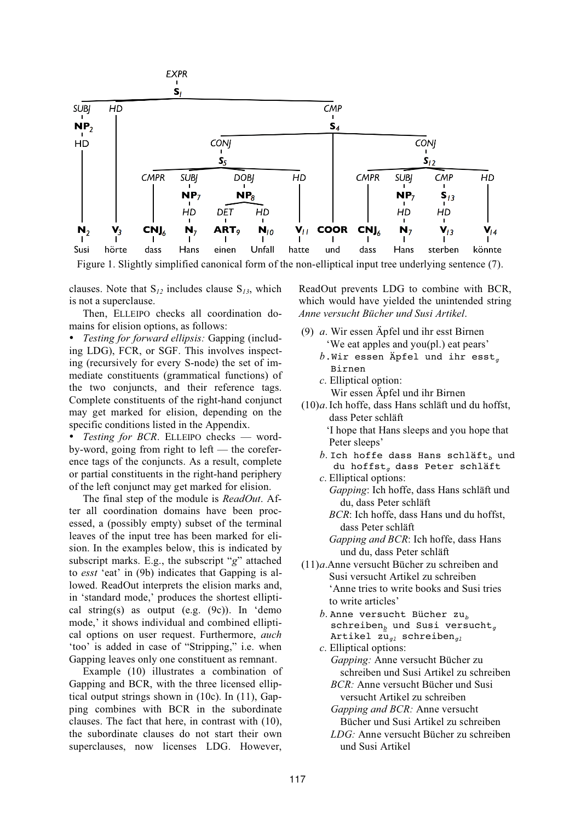

Figure 1. Slightly simplified canonical form of the non-elliptical input tree underlying sentence (7).

clauses. Note that  $S_{12}$  includes clause  $S_{13}$ , which is not a superclause.

Then, ELLEIPO checks all coordination domains for elision options, as follows:

∞ *Testing for forward ellipsis:* Gapping (including LDG), FCR, or SGF. This involves inspecting (recursively for every S-node) the set of immediate constituents (grammatical functions) of the two conjuncts, and their reference tags. Complete constituents of the right-hand conjunct may get marked for elision, depending on the specific conditions listed in the Appendix.

∞ *Testing for BCR*. ELLEIPO checks — wordby-word, going from right to left — the coreference tags of the conjuncts. As a result, complete or partial constituents in the right-hand periphery of the left conjunct may get marked for elision.

The final step of the module is *ReadOut*. After all coordination domains have been processed, a (possibly empty) subset of the terminal leaves of the input tree has been marked for elision. In the examples below, this is indicated by subscript marks. E.g., the subscript "*g*" attached to *esst* 'eat' in (9b) indicates that Gapping is allowed. ReadOut interprets the elision marks and, in 'standard mode,' produces the shortest elliptical string(s) as output (e.g. (9c)). In 'demo mode,' it shows individual and combined elliptical options on user request. Furthermore, *auch* 'too' is added in case of "Stripping," i.e. when Gapping leaves only one constituent as remnant.

Example (10) illustrates a combination of Gapping and BCR, with the three licensed elliptical output strings shown in (10c). In (11), Gapping combines with BCR in the subordinate clauses. The fact that here, in contrast with (10), the subordinate clauses do not start their own superclauses, now licenses LDG. However,

ReadOut prevents LDG to combine with BCR, which would have yielded the unintended string *Anne versucht Bücher und Susi Artikel*.

- (9) *a*. Wir essen Äpfel und ihr esst Birnen 'We eat apples and you(pl.) eat pears'
	- $b$ . Wir essen Äpfel und ihr esst<sub>a</sub> Birnen
	- *c*. Elliptical option:
	- Wir essen Äpfel und ihr Birnen
- $(10)a$ . Ich hoffe, dass Hans schläft und du hoffst, dass Peter schläft 'I hope that Hans sleeps and you hope that Peter sleeps'
	- $b$ . Ich hoffe dass Hans schläft<sub>b</sub> und du hoffst<sub>a</sub> dass Peter schläft
	- *c*. Elliptical options: *Gapping*: Ich hoffe, dass Hans schläft und du, dass Peter schläft
		- *BCR*: Ich hoffe, dass Hans und du hoffst, dass Peter schläft
		- *Gapping and BCR*: Ich hoffe, dass Hans und du, dass Peter schläft
- (11)*a*.Anne versucht Bücher zu schreiben and Susi versucht Artikel zu schreiben 'Anne tries to write books and Susi tries to write articles'
	- $b$ . Anne versucht Bücher zu<sub>b</sub> schreiben, und Susi versucht $_{q}$ Artikel  $\bar{\mathbf{z}}_{g1}$  schreiben<sub>gl</sub>
	- *c*. Elliptical options: *Gapping:* Anne versucht Bücher zu schreiben und Susi Artikel zu schreiben *BCR:* Anne versucht Bücher und Susi
		- versucht Artikel zu schreiben *Gapping and BCR:* Anne versucht
		- Bücher und Susi Artikel zu schreiben
		- *LDG:* Anne versucht Bücher zu schreiben und Susi Artikel